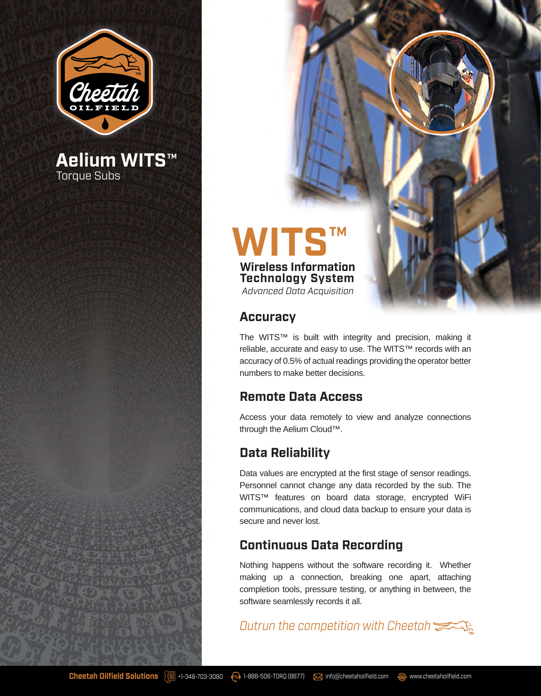

**Aelium WITS™** Torque Subs

# **WITS™ Wireless Information Technology System**

*Advanced Data Acquisition*

#### **Accuracy**

The WITS™ is built with integrity and precision, making it reliable, accurate and easy to use. The WITS™ records with an accuracy of 0.5% of actual readings providing the operator better numbers to make better decisions.

#### **Remote Data Access**

Access your data remotely to view and analyze connections through the Aelium Cloud™.

## **Data Reliability**

Data values are encrypted at the first stage of sensor readings. Personnel cannot change any data recorded by the sub. The WITS™ features on board data storage, encrypted WiFi communications, and cloud data backup to ensure your data is secure and never lost.

### **Continuous Data Recording**

Nothing happens without the software recording it. Whether making up a connection, breaking one apart, attaching completion tools, pressure testing, or anything in between, the software seamlessly records it all.

*Outrun the competition with Cheetah*